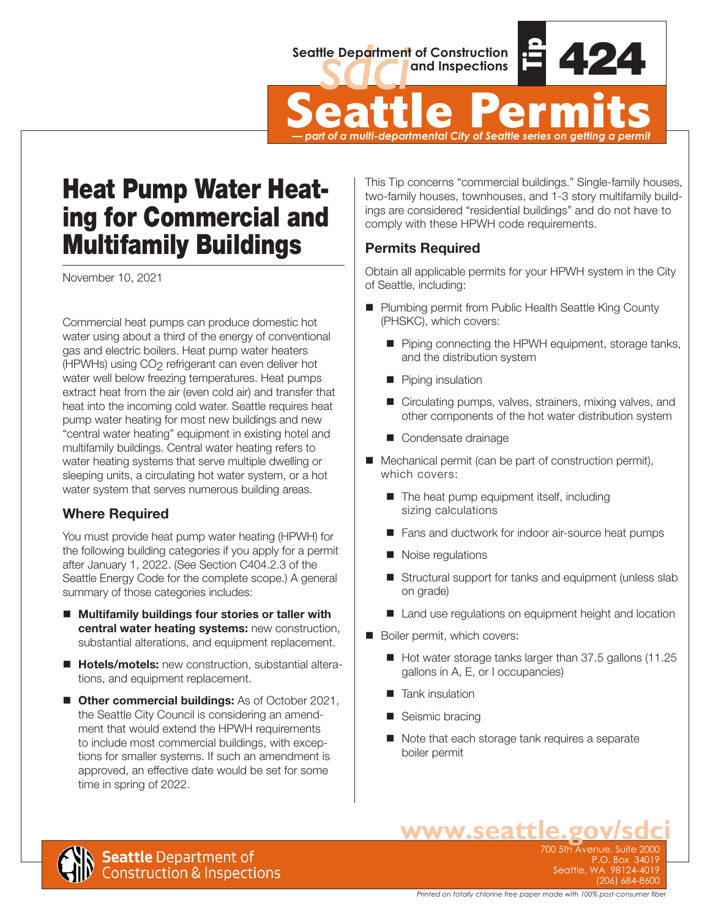

Seattle Department of Construction<br>
Seattle Permits<br>
Seattle Permits<br>
Permits<br>
Permits<br>
Permits<br>
Permits<br>
Permits<br>
Permits<br>
Permits<br>
Permits<br>
Permits<br>
Permits<br>
Permits<br>
Permits<br>
Permits<br>
Permits<br>
Permits<br>
Permits<br>
Permits<br> *— part of a multi-departmental City of Seattle series on getting a permit*

Heat Pump Water Heat ing for Commercial and Multifamily Buildings

November 10, 2021

Commercial heat pumps can produce domestic hot water using about a third of the energy of conventional gas and electric boilers. Heat pump water heaters (HPWHs) using CO<sub>2</sub> refrigerant can even deliver hot water well below freezing temperatures. Heat pumps extract heat from the air (even cold air) and transfer that heat into the incoming cold water. Seattle requires heat pump water heating for most new buildings and new "central water heating" equipment in existing hotel and multifamily buildings. Central water heating refers to water heating systems that serve multiple dwelling or sleeping units, a circulating hot water system, or a hot water system that serves numerous building areas.

## **Where Required**

You must provide heat pump water heating (HPWH) for the following building categories if you apply for a permit after January 1, 2022. (See Section C404.2.3 of the Seattle Energy Code for the complete scope.) A general summary of those categories includes:

- Multifamily buildings four stories or taller with **central water heating systems:** new construction, substantial alterations, and equipment replacement.
- **Hotels/motels:** new construction, substantial alterations, and equipment replacement.
- **Dubildings:** As of October 2021, the Seattle City Council is considering an amendment that would extend the HPWH requirements to include most commercial buildings, with exceptions for smaller systems. If such an amendment is approved, an effective date would be set for some time in spring of 2022.

This Tip concerns "commercial buildings." Single-family houses, two-family houses, townhouses, and 1-3 story multifamily buildings are considered "residential buildings" and do not have to comply with these HPWH code requirements.

## **Permits Required**

Obtain all applicable permits for your HPWH system in the City of Seattle, including:

- **Plumbing permit from Public Health Seattle King County** (PHSKC), which covers:
	- **Piping connecting the HPWH equipment, storage tanks,** and the distribution system
	- **Piping insulation**
	- Circulating pumps, valves, strainers, mixing valves, and other components of the hot water distribution system
	- Condensate drainage
- Mechanical permit (can be part of construction permit), which covers:
	- The heat pump equipment itself, including sizing calculations
	- Fans and ductwork for indoor air-source heat pumps
	- Noise regulations
	- Structural support for tanks and equipment (unless slab on grade)
	- Land use regulations on equipment height and location
- Boiler permit, which covers:
	- $\blacksquare$  Hot water storage tanks larger than 37.5 gallons (11.25) gallons in A, E, or I occupancies)
	- **Tank insulation**
	- Seismic bracing
	- Note that each storage tank requires a separate boiler permit



i**eattle** Department of<br>:onstruction & Inspections

700 5th Avenue, Suite 2000 P.O. Box 34019 Seattle, WA 98124-4019 (206) 684-8600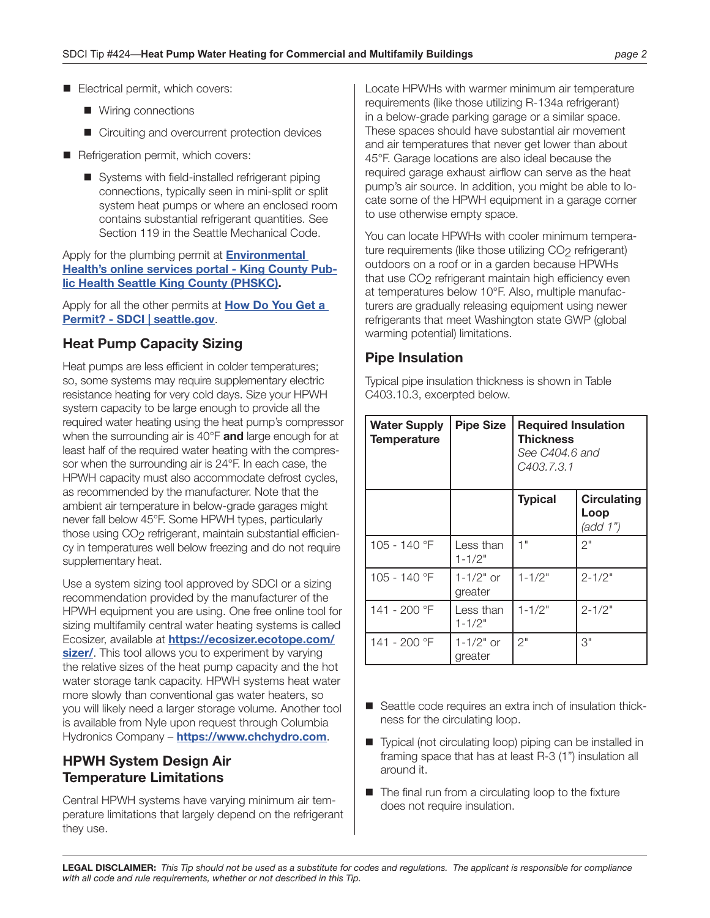- Electrical permit, which covers:
	- **Niring connections**
	- Circuiting and overcurrent protection devices
- Refrigeration permit, which covers:
	- Systems with field-installed refrigerant piping connections, typically seen in mini-split or split system heat pumps or where an enclosed room contains substantial refrigerant quantities. See Section 119 in the Seattle Mechanical Code.

Apply for the plumbing permit at **[Environmental](https://kingcounty.gov/depts/health/environmental-health/portal.aspx)  [Health's online services portal - King County Pub](https://kingcounty.gov/depts/health/environmental-health/portal.aspx)[lic Health Seattle King County \(PHSKC\)](https://kingcounty.gov/depts/health/environmental-health/portal.aspx).** 

Apply for all the other permits at **[How Do You Get a](http://www.seattle.gov/sdci/permits/how-do-you-get-a-permit)  [Permit? - SDCI | seattle.gov](http://www.seattle.gov/sdci/permits/how-do-you-get-a-permit)**.

### **Heat Pump Capacity Sizing**

Heat pumps are less efficient in colder temperatures; so, some systems may require supplementary electric resistance heating for very cold days. Size your HPWH system capacity to be large enough to provide all the required water heating using the heat pump's compressor when the surrounding air is 40°F **and** large enough for at least half of the required water heating with the compressor when the surrounding air is 24°F. In each case, the HPWH capacity must also accommodate defrost cycles, as recommended by the manufacturer. Note that the ambient air temperature in below-grade garages might never fall below 45°F. Some HPWH types, particularly those using CO<sub>2</sub> refrigerant, maintain substantial efficiency in temperatures well below freezing and do not require supplementary heat.

Use a system sizing tool approved by SDCI or a sizing recommendation provided by the manufacturer of the HPWH equipment you are using. One free online tool for sizing multifamily central water heating systems is called Ecosizer, available at **<https://ecosizer.ecotope.com/> sizer/**. This tool allows you to experiment by varying the relative sizes of the heat pump capacity and the hot water storage tank capacity. HPWH systems heat water more slowly than conventional gas water heaters, so you will likely need a larger storage volume. Another tool is available from Nyle upon request through Columbia Hydronics Company – **<https://www.chchydro.com>**.

#### **HPWH System Design Air Temperature Limitations**

Central HPWH systems have varying minimum air temperature limitations that largely depend on the refrigerant they use.

Locate HPWHs with warmer minimum air temperature requirements (like those utilizing R-134a refrigerant) in a below-grade parking garage or a similar space. These spaces should have substantial air movement and air temperatures that never get lower than about 45°F. Garage locations are also ideal because the required garage exhaust airflow can serve as the heat pump's air source. In addition, you might be able to locate some of the HPWH equipment in a garage corner to use otherwise empty space.

You can locate HPWHs with cooler minimum temperature requirements (like those utilizing CO<sub>2</sub> refrigerant) outdoors on a roof or in a garden because HPWHs that use CO2 refrigerant maintain high efficiency even at temperatures below 10°F. Also, multiple manufacturers are gradually releasing equipment using newer refrigerants that meet Washington state GWP (global warming potential) limitations.

#### **Pipe Insulation**

Typical pipe insulation thickness is shown in Table C403.10.3, excerpted below.

| <b>Water Supply</b><br><b>Temperature</b> | <b>Pipe Size</b>        | <b>Required Insulation</b><br>Thickness<br>See C404.6 and<br>C403.7.3.1 |                                        |
|-------------------------------------------|-------------------------|-------------------------------------------------------------------------|----------------------------------------|
|                                           |                         | <b>Typical</b>                                                          | <b>Circulating</b><br>Loop<br>(add 1") |
| 105 - 140 °F                              | Less than<br>$1 - 1/2"$ | 1"                                                                      | 2"                                     |
| 105 - 140 °F                              | 1-1/2" or<br>greater    | $1 - 1/2"$                                                              | $2 - 1/2"$                             |
| 141 - 200 °F                              | Less than<br>$1 - 1/2"$ | $1 - 1/2"$                                                              | $2 - 1/2"$                             |
| 141 - 200 °F                              | 1-1/2" or<br>greater    | 2"                                                                      | 3"                                     |

- Seattle code requires an extra inch of insulation thickness for the circulating loop.
- Typical (not circulating loop) piping can be installed in framing space that has at least R-3 (1") insulation all around it.
- $\blacksquare$  The final run from a circulating loop to the fixture does not require insulation.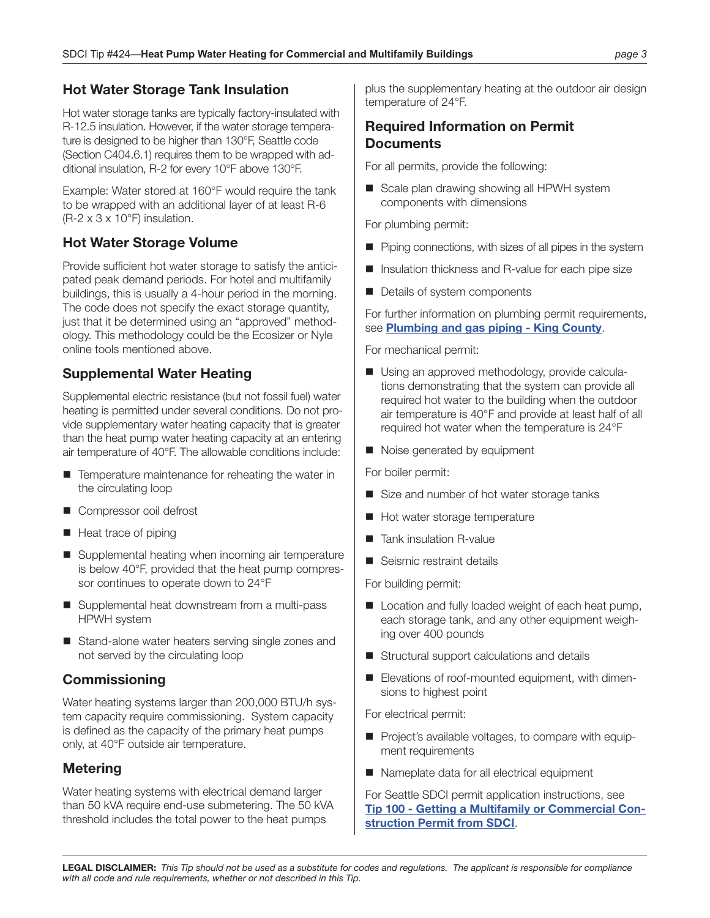## **Hot Water Storage Tank Insulation**

Hot water storage tanks are typically factory-insulated with R-12.5 insulation. However, if the water storage temperature is designed to be higher than 130°F, Seattle code (Section C404.6.1) requires them to be wrapped with additional insulation, R-2 for every 10°F above 130°F.

Example: Water stored at 160°F would require the tank to be wrapped with an additional layer of at least R-6  $(R-2 \times 3 \times 10^{\circ}F)$  insulation.

## **Hot Water Storage Volume**

Provide sufficient hot water storage to satisfy the anticipated peak demand periods. For hotel and multifamily buildings, this is usually a 4-hour period in the morning. The code does not specify the exact storage quantity, just that it be determined using an "approved" methodology. This methodology could be the Ecosizer or Nyle online tools mentioned above.

## **Supplemental Water Heating**

Supplemental electric resistance (but not fossil fuel) water heating is permitted under several conditions. Do not provide supplementary water heating capacity that is greater than the heat pump water heating capacity at an entering air temperature of 40°F. The allowable conditions include:

- Temperature maintenance for reheating the water in the circulating loop
- Compressor coil defrost
- Heat trace of piping
- Supplemental heating when incoming air temperature is below 40°F, provided that the heat pump compressor continues to operate down to 24°F
- Supplemental heat downstream from a multi-pass HPWH system
- Stand-alone water heaters serving single zones and not served by the circulating loop

### **Commissioning**

Water heating systems larger than 200,000 BTU/h system capacity require commissioning. System capacity is defined as the capacity of the primary heat pumps only, at 40°F outside air temperature.

## **Metering**

Water heating systems with electrical demand larger than 50 kVA require end-use submetering. The 50 kVA threshold includes the total power to the heat pumps

plus the supplementary heating at the outdoor air design temperature of 24°F.

#### **Required Information on Permit Documents**

For all permits, provide the following:

■ Scale plan drawing showing all HPWH system components with dimensions

For plumbing permit:

- **Piping connections, with sizes of all pipes in the system**
- Insulation thickness and R-value for each pipe size
- Details of system components

For further information on plumbing permit requirements, see **[Plumbing and gas piping - King County](https://kingcounty.gov/depts/health/environmental-health/piping/plumbing.aspx)**.

For mechanical permit:

- Using an approved methodology, provide calculations demonstrating that the system can provide all required hot water to the building when the outdoor air temperature is 40°F and provide at least half of all required hot water when the temperature is 24°F
- Noise generated by equipment

For boiler permit:

- Size and number of hot water storage tanks
- Hot water storage temperature
- Tank insulation R-value
- Seismic restraint details

For building permit:

- **L** Location and fully loaded weight of each heat pump, each storage tank, and any other equipment weighing over 400 pounds
- Structural support calculations and details
- Elevations of roof-mounted equipment, with dimensions to highest point

For electrical permit:

- **Project's available voltages, to compare with equip**ment requirements
- Nameplate data for all electrical equipment

For Seattle SDCI permit application instructions, see **[Tip 100 - Getting a Multifamily or Commercial Con](http://www.seattle.gov/DPD/Publications/CAM/cam100.pdf)[struction Permit from SDCI](http://www.seattle.gov/DPD/Publications/CAM/cam100.pdf)**.